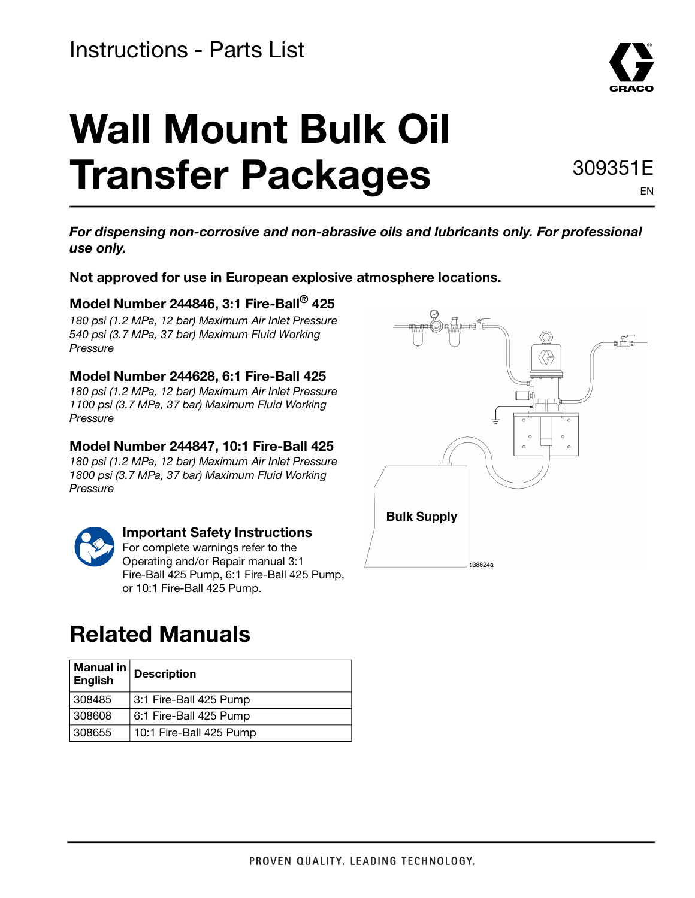# **Wall Mount Bulk Oil Transfer Packages**

309351E EN

**For dispensing non-corrosive and non-abrasive oils and lubricants only. For professional use only.** 

**Not approved for use in European explosive atmosphere locations.** 

#### **Model Number 244846, 3:1 Fire-Ball® 425**

180 psi (1.2 MPa, 12 bar) Maximum Air Inlet Pressure 540 psi (3.7 MPa, 37 bar) Maximum Fluid Working Pressure

#### **Model Number 244628, 6:1 Fire-Ball 425**

180 psi (1.2 MPa, 12 bar) Maximum Air Inlet Pressure 1100 psi (3.7 MPa, 37 bar) Maximum Fluid Working Pressure

#### **Model Number 244847, 10:1 Fire-Ball 425**

180 psi (1.2 MPa, 12 bar) Maximum Air Inlet Pressure 1800 psi (3.7 MPa, 37 bar) Maximum Fluid Working Pressure



#### **Important Safety Instructions**

For complete warnings refer to the Operating and/or Repair manual 3:1 Fire-Ball 425 Pump, 6:1 Fire-Ball 425 Pump, or 10:1 Fire-Ball 425 Pump.

# **Related Manuals**

| Manual in  <br>English | <b>Description</b>      |  |
|------------------------|-------------------------|--|
| 308485                 | 3:1 Fire-Ball 425 Pump  |  |
| 308608                 | 6:1 Fire-Ball 425 Pump  |  |
| 308655                 | 10:1 Fire-Ball 425 Pump |  |

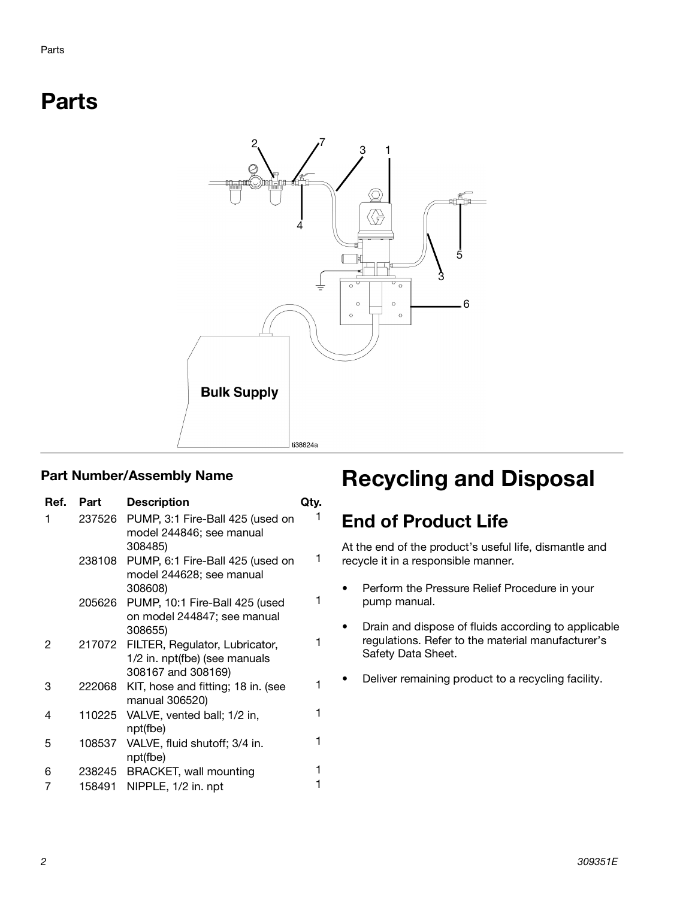# **Parts**



| Ref. | Part   | <b>Description</b>                                                                    | Qtv. |
|------|--------|---------------------------------------------------------------------------------------|------|
| 1    | 237526 | PUMP, 3:1 Fire-Ball 425 (used on<br>model 244846; see manual<br>308485)               |      |
|      | 238108 | PUMP, 6:1 Fire-Ball 425 (used on<br>model 244628; see manual<br>308608)               | 1    |
|      | 205626 | PUMP, 10:1 Fire-Ball 425 (used<br>on model 244847; see manual<br>308655)              |      |
| 2    | 217072 | FILTER, Regulator, Lubricator,<br>1/2 in. npt(fbe) (see manuals<br>308167 and 308169) |      |
| 3    | 222068 | KIT, hose and fitting; 18 in. (see<br>manual 306520)                                  |      |
| 4    | 110225 | VALVE, vented ball; 1/2 in,<br>npt(fbe)                                               | 1    |
| 5    | 108537 | VALVE, fluid shutoff; 3/4 in.<br>npt(fbe)                                             | 1    |
| 6    |        | 238245 BRACKET, wall mounting                                                         |      |
| 7    | 158491 | NIPPLE, 1/2 in. npt                                                                   |      |

# Part Number/Assembly Name **Recycling and Disposal**

## **End of Product Life**

At the end of the product's useful life, dismantle and recycle it in a responsible manner.

- Perform the Pressure Relief Procedure in your pump manual.
- Drain and dispose of fluids according to applicable regulations. Refer to the material manufacturer's Safety Data Sheet.
- Deliver remaining product to a recycling facility.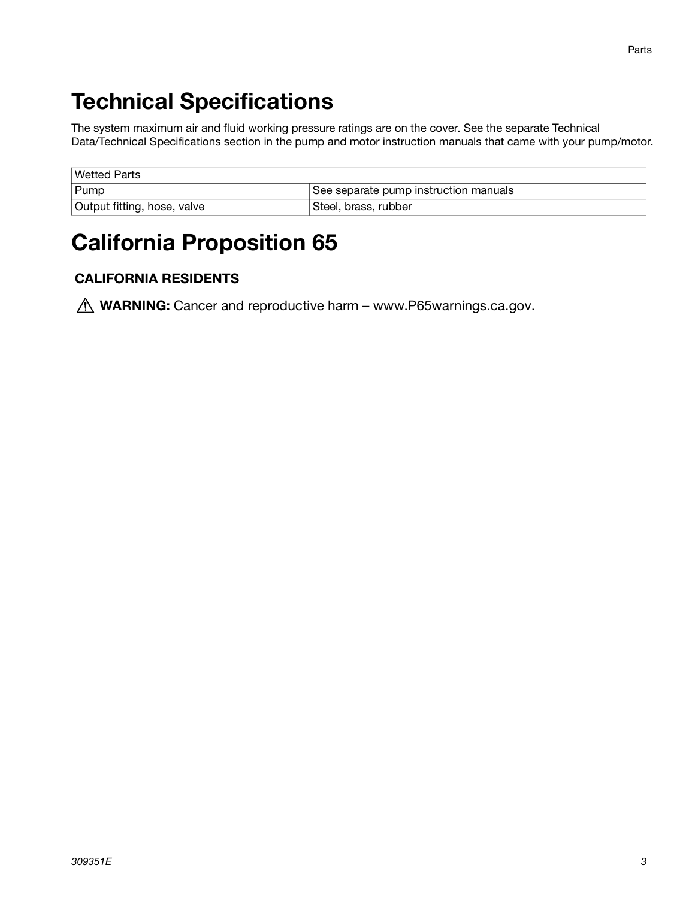# **Technical Specifications**

The system maximum air and fluid working pressure ratings are on the cover. See the separate Technical Data/Technical Specifications section in the pump and motor instruction manuals that came with your pump/motor.

| <b>Wetted Parts</b>         |                                       |  |  |
|-----------------------------|---------------------------------------|--|--|
| Pump                        | See separate pump instruction manuals |  |  |
| Output fitting, hose, valve | Steel, brass, rubber                  |  |  |

# **California Proposition 65**

#### **CALIFORNIA RESIDENTS**

*A* WARNING: Cancer and reproductive harm – www.P65warnings.ca.gov.